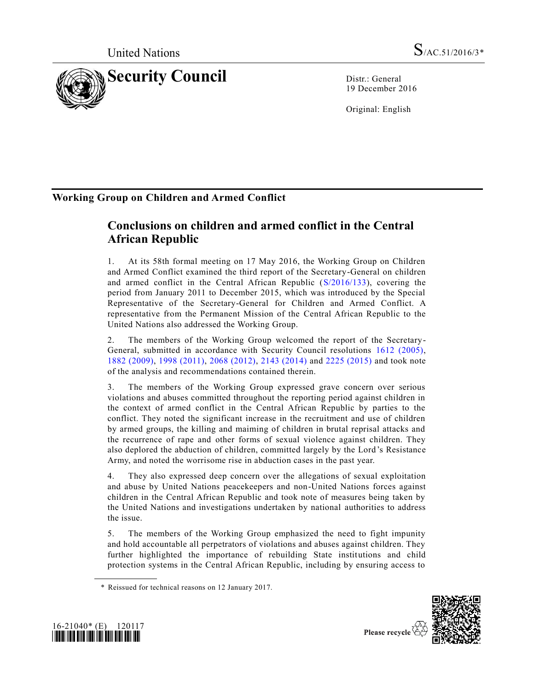

19 December 2016

Original: English

## **Working Group on Children and Armed Conflict**

# **Conclusions on children and armed conflict in the Central African Republic**

1. At its 58th formal meeting on 17 May 2016, the Working Group on Children and Armed Conflict examined the third report of the Secretary-General on children and armed conflict in the Central African Republic [\(S/2016/133\)](http://undocs.org/S/2016/133), covering the period from January 2011 to December 2015, which was introduced by the Special Representative of the Secretary-General for Children and Armed Conflict. A representative from the Permanent Mission of the Central African Republic to the United Nations also addressed the Working Group.

2. The members of the Working Group welcomed the report of the Secretary-General, submitted in accordance with Security Council resolutions [1612 \(2005\),](http://undocs.org/S/RES/1612(2005)) 1882 [\(2009\),](http://undocs.org/S/RES/1882(2009)) [1998 \(2011\),](http://undocs.org/S/RES/1998(2011)) [2068 \(2012\),](http://undocs.org/S/RES/2068(2012)) [2143 \(2014\)](http://undocs.org/S/RES/2143(2014)) and [2225 \(2015\)](http://undocs.org/S/RES/2225(2015)) and took note of the analysis and recommendations contained therein.

3. The members of the Working Group expressed grave concern over serious violations and abuses committed throughout the reporting period against children in the context of armed conflict in the Central African Republic by parties to the conflict. They noted the significant increase in the recruitment and use of children by armed groups, the killing and maiming of children in brutal reprisal attacks and the recurrence of rape and other forms of sexual violence against children. They also deplored the abduction of children, committed largely by the Lord 's Resistance Army, and noted the worrisome rise in abduction cases in the past year.

4. They also expressed deep concern over the allegations of sexual exploitation and abuse by United Nations peacekeepers and non-United Nations forces against children in the Central African Republic and took note of measures being taken by the United Nations and investigations undertaken by national authorities to address the issue.

5. The members of the Working Group emphasized the need to fight impunity and hold accountable all perpetrators of violations and abuses against children. They further highlighted the importance of rebuilding State institutions and child protection systems in the Central African Republic, including by ensuring access to





<sup>\*</sup> Reissued for technical reasons on 12 January 2017.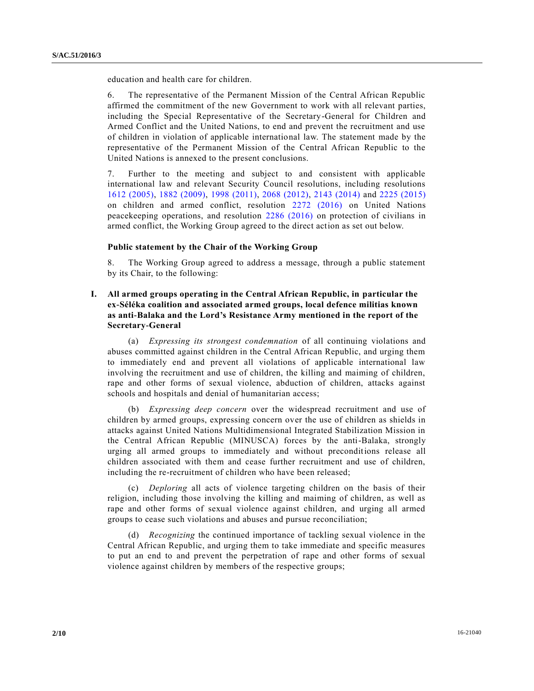education and health care for children.

6. The representative of the Permanent Mission of the Central African Republic affirmed the commitment of the new Government to work with all relevant parties, including the Special Representative of the Secretary-General for Children and Armed Conflict and the United Nations, to end and prevent the recruitment and use of children in violation of applicable international law. The statement made by the representative of the Permanent Mission of the Central African Republic to the United Nations is annexed to the present conclusions.

7. Further to the meeting and subject to and consistent with applicable international law and relevant Security Council resolutions, including resolutions [1612 \(2005\),](http://undocs.org/S/RES/1612(2005)) [1882 \(2009\),](http://undocs.org/S/RES/1882(2009)) [1998 \(2011\),](http://undocs.org/S/RES/1998(2011)) [2068 \(2012\),](http://undocs.org/S/RES/2068(2012)) [2143 \(2014\)](http://undocs.org/S/RES/2143(2014)) and [2225 \(2015\)](http://undocs.org/S/RES/2225(2015)) on children and armed conflict, resolution [2272 \(2016\)](http://undocs.org/S/RES/2272(2016)) on United Nations peacekeeping operations, and resolution [2286 \(2016\)](http://undocs.org/S/RES/2286(2016)) on protection of civilians in armed conflict, the Working Group agreed to the direct action as set out below.

## **Public statement by the Chair of the Working Group**

8. The Working Group agreed to address a message, through a public statement by its Chair, to the following:

**I. All armed groups operating in the Central African Republic, in particular the ex-Séléka coalition and associated armed groups, local defence militias known as anti-Balaka and the Lord's Resistance Army mentioned in the report of the Secretary-General** 

(a) *Expressing its strongest condemnation* of all continuing violations and abuses committed against children in the Central African Republic, and urging them to immediately end and prevent all violations of applicable international law involving the recruitment and use of children, the killing and maiming of children, rape and other forms of sexual violence, abduction of children, attacks against schools and hospitals and denial of humanitarian access;

(b) *Expressing deep concern* over the widespread recruitment and use of children by armed groups, expressing concern over the use of children as shields in attacks against United Nations Multidimensional Integrated Stabilization Mission in the Central African Republic (MINUSCA) forces by the anti-Balaka, strongly urging all armed groups to immediately and without preconditions release all children associated with them and cease further recruitment and use of children, including the re-recruitment of children who have been released;

(c) *Deploring* all acts of violence targeting children on the basis of their religion, including those involving the killing and maiming of children, as well as rape and other forms of sexual violence against children, and urging all armed groups to cease such violations and abuses and pursue reconciliation;

(d) *Recognizing* the continued importance of tackling sexual violence in the Central African Republic, and urging them to take immediate and specific measures to put an end to and prevent the perpetration of rape and other forms of sexual violence against children by members of the respective groups;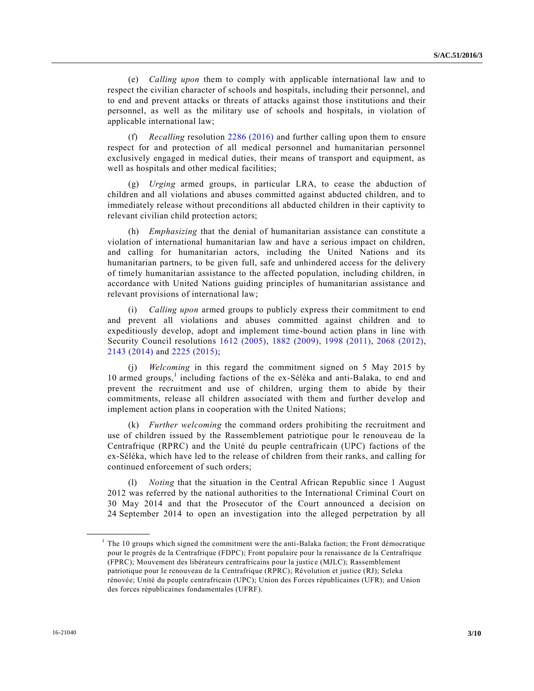(e) *Calling upon* them to comply with applicable international law and to respect the civilian character of schools and hospitals, including their personnel, and to end and prevent attacks or threats of attacks against those institutions and their personnel, as well as the military use of schools and hospitals, in violation of applicable international law;

(f) *Recalling* resolution [2286 \(2016\)](http://undocs.org/S/RES/2286(2016)) and further calling upon them to ensure respect for and protection of all medical personnel and humanitarian personnel exclusively engaged in medical duties, their means of transport and equipment, as well as hospitals and other medical facilities;

(g) *Urging* armed groups, in particular LRA, to cease the abduction of children and all violations and abuses committed against abducted children, and to immediately release without preconditions all abducted children in their captivity to relevant civilian child protection actors;

(h) *Emphasizing* that the denial of humanitarian assistance can constitute a violation of international humanitarian law and have a serious impact on children, and calling for humanitarian actors, including the United Nations and its humanitarian partners, to be given full, safe and unhindered access for the delivery of timely humanitarian assistance to the affected population, including children, in accordance with United Nations guiding principles of humanitarian assistance and relevant provisions of international law;

*Calling upon* armed groups to publicly express their commitment to end and prevent all violations and abuses committed against children and to expeditiously develop, adopt and implement time-bound action plans in line with Security Council resolutions [1612 \(2005\),](http://undocs.org/S/RES/1612(2005)) [1882 \(2009\),](http://undocs.org/S/RES/1882(2009)) [1998 \(2011\),](http://undocs.org/S/RES/1998(2011)) [2068 \(2012\),](http://undocs.org/S/RES/2068(2012)) [2143 \(2014\)](http://undocs.org/S/RES/2143(2014)) and [2225 \(2015\);](http://undocs.org/S/RES/2225(2015))

(j) *Welcoming* in this regard the commitment signed on 5 May 2015 by 10 armed groups,<sup>1</sup> including factions of the ex-Séléka and anti-Balaka, to end and prevent the recruitment and use of children, urging them to abide by their commitments, release all children associated with them and further develop and implement action plans in cooperation with the United Nations;

(k) *Further welcoming* the command orders prohibiting the recruitment and use of children issued by the Rassemblement patriotique pour le renouveau de la Centrafrique (RPRC) and the Unité du peuple centrafricain (UPC) factions of the ex-Séléka, which have led to the release of children from their ranks, and calling for continued enforcement of such orders;

(l) *Noting* that the situation in the Central African Republic since 1 August 2012 was referred by the national authorities to the International Criminal Court on 30 May 2014 and that the Prosecutor of the Court announced a decision on 24 September 2014 to open an investigation into the alleged perpetration by all

**\_\_\_\_\_\_\_\_\_\_\_\_\_\_\_\_\_\_**

<sup>&</sup>lt;sup>1</sup> The 10 groups which signed the commitment were the anti-Balaka faction; the Front démocratique pour le progrès de la Centrafrique (FDPC); Front populaire pour la renaissance de la Centrafrique (FPRC); Mouvement des libérateurs centrafricains pour la justic e (MJLC); Rassemblement patriotique pour le renouveau de la Centrafrique (RPRC); Révolution et justice (RJ); Seleka rénovée; Unité du peuple centrafricain (UPC); Union des Forces républicaines (UFR); and Union des forces républicaines fondamentales (UFRF).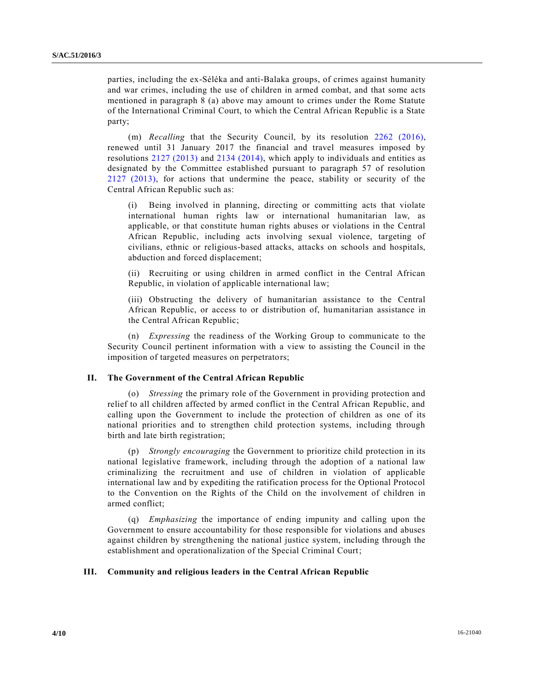parties, including the ex-Séléka and anti-Balaka groups, of crimes against humanity and war crimes, including the use of children in armed combat, and that some acts mentioned in paragraph 8 (a) above may amount to crimes under the Rome Statute of the International Criminal Court, to which the Central African Republic is a State party;

(m) *Recalling* that the Security Council, by its resolution [2262 \(2016\),](http://undocs.org/S/RES/2262(2016)) renewed until 31 January 2017 the financial and travel measures imposed by resolutions [2127 \(2013\)](http://undocs.org/S/RES/2127(2013)) and [2134 \(2014\),](http://undocs.org/S/RES/2134(2014)) which apply to individuals and entities as designated by the Committee established pursuant to paragraph 57 of resolution [2127 \(2013\),](http://undocs.org/S/RES/2127(2013)) for actions that undermine the peace, stability or security of the Central African Republic such as:

(i) Being involved in planning, directing or committing acts that violate international human rights law or international humanitarian law, as applicable, or that constitute human rights abuses or violations in the Central African Republic, including acts involving sexual violence, targeting of civilians, ethnic or religious-based attacks, attacks on schools and hospitals, abduction and forced displacement;

(ii) Recruiting or using children in armed conflict in the Central African Republic, in violation of applicable international law;

(iii) Obstructing the delivery of humanitarian assistance to the Central African Republic, or access to or distribution of, humanitarian assistance in the Central African Republic;

(n) *Expressing* the readiness of the Working Group to communicate to the Security Council pertinent information with a view to assisting the Council in the imposition of targeted measures on perpetrators;

## **II. The Government of the Central African Republic**

(o) *Stressing* the primary role of the Government in providing protection and relief to all children affected by armed conflict in the Central African Republic, and calling upon the Government to include the protection of children as one of its national priorities and to strengthen child protection systems, including through birth and late birth registration;

(p) *Strongly encouraging* the Government to prioritize child protection in its national legislative framework, including through the adoption of a national law criminalizing the recruitment and use of children in violation of applicable international law and by expediting the ratification process for the Optional Protocol to the Convention on the Rights of the Child on the involvement of children in armed conflict;

(q) *Emphasizing* the importance of ending impunity and calling upon the Government to ensure accountability for those responsible for violations and abuses against children by strengthening the national justice system, including through the establishment and operationalization of the Special Criminal Court;

#### **III. Community and religious leaders in the Central African Republic**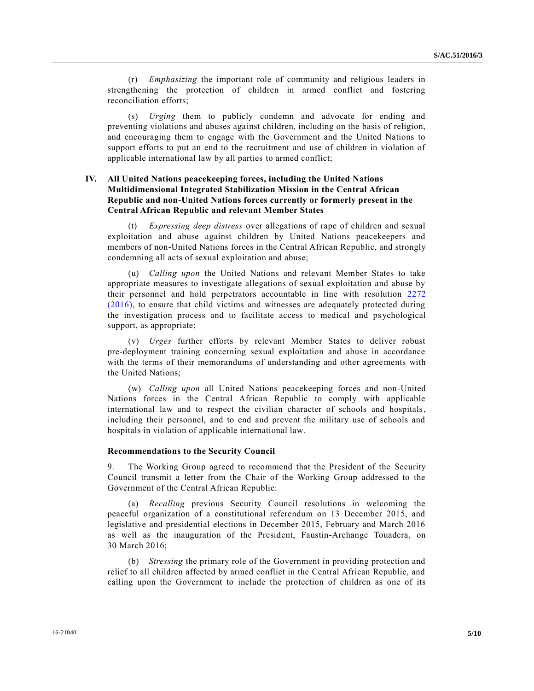(r) *Emphasizing* the important role of community and religious leaders in strengthening the protection of children in armed conflict and fostering reconciliation efforts;

(s) *Urging* them to publicly condemn and advocate for ending and preventing violations and abuses against children, including on the basis of religion, and encouraging them to engage with the Government and the United Nations to support efforts to put an end to the recruitment and use of children in violation of applicable international law by all parties to armed conflict;

## **IV. All United Nations peacekeeping forces, including the United Nations Multidimensional Integrated Stabilization Mission in the Central African Republic and non-United Nations forces currently or formerly present in the Central African Republic and relevant Member States**

(t) *Expressing deep distress* over allegations of rape of children and sexual exploitation and abuse against children by United Nations peacekeepers and members of non-United Nations forces in the Central African Republic, and strongly condemning all acts of sexual exploitation and abuse;

(u) *Calling upon* the United Nations and relevant Member States to take appropriate measures to investigate allegations of sexual exploitation and abuse by their personnel and hold perpetrators accountable in line with resolution [2272](http://undocs.org/S/RES/2272(2016))  [\(2016\),](http://undocs.org/S/RES/2272(2016)) to ensure that child victims and witnesses are adequately protected during the investigation process and to facilitate access to medical and psychological support, as appropriate;

(v) *Urges* further efforts by relevant Member States to deliver robust pre-deployment training concerning sexual exploitation and abuse in accordance with the terms of their memorandums of understanding and other agreements with the United Nations;

(w) *Calling upon* all United Nations peacekeeping forces and non-United Nations forces in the Central African Republic to comply with applicable international law and to respect the civilian character of schools and hospitals, including their personnel, and to end and prevent the military use of schools and hospitals in violation of applicable international law.

#### **Recommendations to the Security Council**

9. The Working Group agreed to recommend that the President of the Security Council transmit a letter from the Chair of the Working Group addressed to the Government of the Central African Republic:

(a) *Recalling* previous Security Council resolutions in welcoming the peaceful organization of a constitutional referendum on 13 December 2015, and legislative and presidential elections in December 2015, February and March 2016 as well as the inauguration of the President, Faustin-Archange Touadera, on 30 March 2016;

(b) *Stressing* the primary role of the Government in providing protection and relief to all children affected by armed conflict in the Central African Republic, and calling upon the Government to include the protection of children as one of its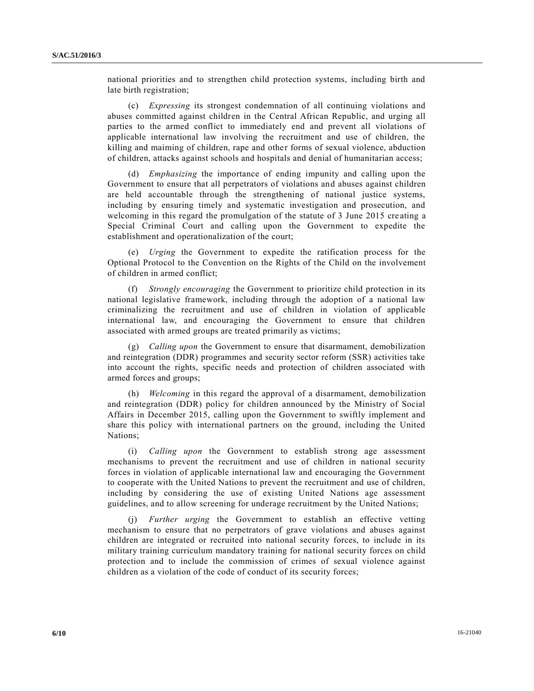national priorities and to strengthen child protection systems, including birth and late birth registration;

(c) *Expressing* its strongest condemnation of all continuing violations and abuses committed against children in the Central African Republic, and urging all parties to the armed conflict to immediately end and prevent all violations of applicable international law involving the recruitment and use of children, the killing and maiming of children, rape and other forms of sexual violence, abduction of children, attacks against schools and hospitals and denial of humanitarian access;

(d) *Emphasizing* the importance of ending impunity and calling upon the Government to ensure that all perpetrators of violations and abuses against children are held accountable through the strengthening of national justice systems, including by ensuring timely and systematic investigation and prosecution, and welcoming in this regard the promulgation of the statute of 3 June 2015 cre ating a Special Criminal Court and calling upon the Government to expedite the establishment and operationalization of the court;

(e) *Urging* the Government to expedite the ratification process for the Optional Protocol to the Convention on the Rights of the Child on the involvement of children in armed conflict;

(f) *Strongly encouraging* the Government to prioritize child protection in its national legislative framework, including through the adoption of a national law criminalizing the recruitment and use of children in violation of applicable international law, and encouraging the Government to ensure that children associated with armed groups are treated primarily as victims;

(g) *Calling upon* the Government to ensure that disarmament, demobilization and reintegration (DDR) programmes and security sector reform (SSR) activities take into account the rights, specific needs and protection of children associated with armed forces and groups;

(h) *Welcoming* in this regard the approval of a disarmament, demobilization and reintegration (DDR) policy for children announced by the Ministry of Social Affairs in December 2015, calling upon the Government to swiftly implement and share this policy with international partners on the ground, including the United Nations;

(i) *Calling upon* the Government to establish strong age assessment mechanisms to prevent the recruitment and use of children in national security forces in violation of applicable international law and encouraging the Government to cooperate with the United Nations to prevent the recruitment and use of children, including by considering the use of existing United Nations age assessment guidelines, and to allow screening for underage recruitment by the United Nations;

(j) *Further urging* the Government to establish an effective vetting mechanism to ensure that no perpetrators of grave violations and abuses against children are integrated or recruited into national security forces, to include in its military training curriculum mandatory training for national security forces on child protection and to include the commission of crimes of sexual violence against children as a violation of the code of conduct of its security forces;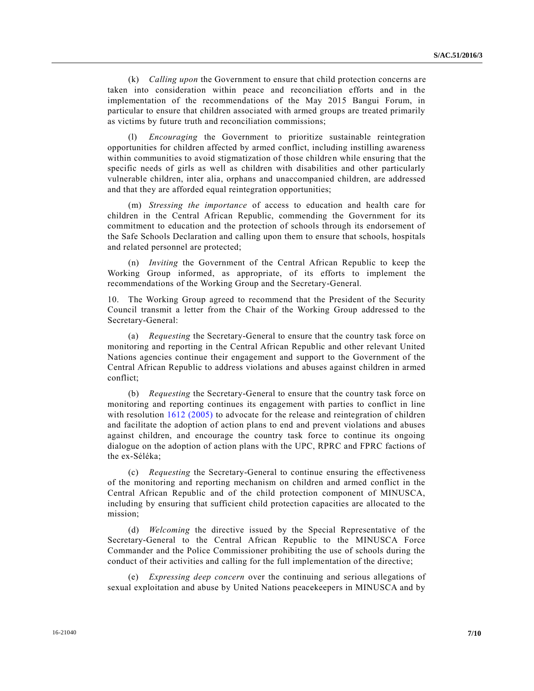(k) *Calling upon* the Government to ensure that child protection concerns are taken into consideration within peace and reconciliation efforts and in the implementation of the recommendations of the May 2015 Bangui Forum, in particular to ensure that children associated with armed groups are treated primarily as victims by future truth and reconciliation commissions;

(l) *Encouraging* the Government to prioritize sustainable reintegration opportunities for children affected by armed conflict, including instilling awareness within communities to avoid stigmatization of those children while ensuring that the specific needs of girls as well as children with disabilities and other particularly vulnerable children, inter alia, orphans and unaccompanied children, are addressed and that they are afforded equal reintegration opportunities;

(m) *Stressing the importance* of access to education and health care for children in the Central African Republic, commending the Government for its commitment to education and the protection of schools through its endorsement of the Safe Schools Declaration and calling upon them to ensure that schools, hospitals and related personnel are protected;

(n) *Inviting* the Government of the Central African Republic to keep the Working Group informed, as appropriate, of its efforts to implement the recommendations of the Working Group and the Secretary-General.

10. The Working Group agreed to recommend that the President of the Security Council transmit a letter from the Chair of the Working Group addressed to the Secretary-General:

(a) *Requesting* the Secretary-General to ensure that the country task force on monitoring and reporting in the Central African Republic and other relevant United Nations agencies continue their engagement and support to the Government of the Central African Republic to address violations and abuses against children in armed conflict;

(b) *Requesting* the Secretary-General to ensure that the country task force on monitoring and reporting continues its engagement with parties to conflict in line with resolution [1612 \(2005\)](http://undocs.org/S/RES/1612(2005)) to advocate for the release and reintegration of children and facilitate the adoption of action plans to end and prevent violations and abuses against children, and encourage the country task force to continue its ongoing dialogue on the adoption of action plans with the UPC, RPRC and FPRC factions of the ex-Séléka;

(c) *Requesting* the Secretary-General to continue ensuring the effectiveness of the monitoring and reporting mechanism on children and armed conflict in the Central African Republic and of the child protection component of MINUSCA, including by ensuring that sufficient child protection capacities are allocated to the mission;

(d) *Welcoming* the directive issued by the Special Representative of the Secretary-General to the Central African Republic to the MINUSCA Force Commander and the Police Commissioner prohibiting the use of schools during the conduct of their activities and calling for the full implementation of the directive;

(e) *Expressing deep concern* over the continuing and serious allegations of sexual exploitation and abuse by United Nations peacekeepers in MINUSCA and by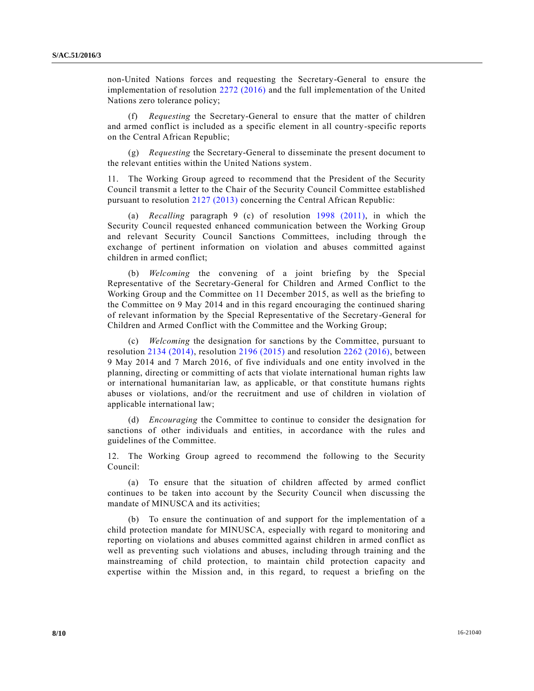non-United Nations forces and requesting the Secretary-General to ensure the implementation of resolution [2272 \(2016\)](http://undocs.org/S/RES/2272(2016)) and the full implementation of the United Nations zero tolerance policy;

(f) *Requesting* the Secretary-General to ensure that the matter of children and armed conflict is included as a specific element in all country-specific reports on the Central African Republic;

(g) *Requesting* the Secretary-General to disseminate the present document to the relevant entities within the United Nations system.

11. The Working Group agreed to recommend that the President of the Security Council transmit a letter to the Chair of the Security Council Committee established pursuant to resolution [2127 \(2013\)](http://undocs.org/S/RES/2127(2013)) concerning the Central African Republic:

(a) *Recalling* paragraph 9 (c) of resolution [1998 \(2011\),](http://undocs.org/S/RES/1998(2011)) in which the Security Council requested enhanced communication between the Working Group and relevant Security Council Sanctions Committees, including through the exchange of pertinent information on violation and abuses committed against children in armed conflict;

(b) *Welcoming* the convening of a joint briefing by the Special Representative of the Secretary-General for Children and Armed Conflict to the Working Group and the Committee on 11 December 2015, as well as the briefing to the Committee on 9 May 2014 and in this regard encouraging the continued sharing of relevant information by the Special Representative of the Secretary-General for Children and Armed Conflict with the Committee and the Working Group;

(c) *Welcoming* the designation for sanctions by the Committee, pursuant to resolution [2134 \(2014\),](http://undocs.org/S/RES/2134(2014)) resolution [2196 \(2015\)](http://undocs.org/S/RES/2196(2015)) and resolution [2262 \(2016\),](http://undocs.org/S/RES/2262(2016)) between 9 May 2014 and 7 March 2016, of five individuals and one entity involved in the planning, directing or committing of acts that violate international human rights law or international humanitarian law, as applicable, or that constitute humans rights abuses or violations, and/or the recruitment and use of children in violation of applicable international law;

(d) *Encouraging* the Committee to continue to consider the designation for sanctions of other individuals and entities, in accordance with the rules and guidelines of the Committee.

12. The Working Group agreed to recommend the following to the Security Council:

(a) To ensure that the situation of children affected by armed conflict continues to be taken into account by the Security Council when discussing the mandate of MINUSCA and its activities;

(b) To ensure the continuation of and support for the implementation of a child protection mandate for MINUSCA, especially with regard to monitoring and reporting on violations and abuses committed against children in armed conflict as well as preventing such violations and abuses, including through training and the mainstreaming of child protection, to maintain child protection capacity and expertise within the Mission and, in this regard, to request a briefing on the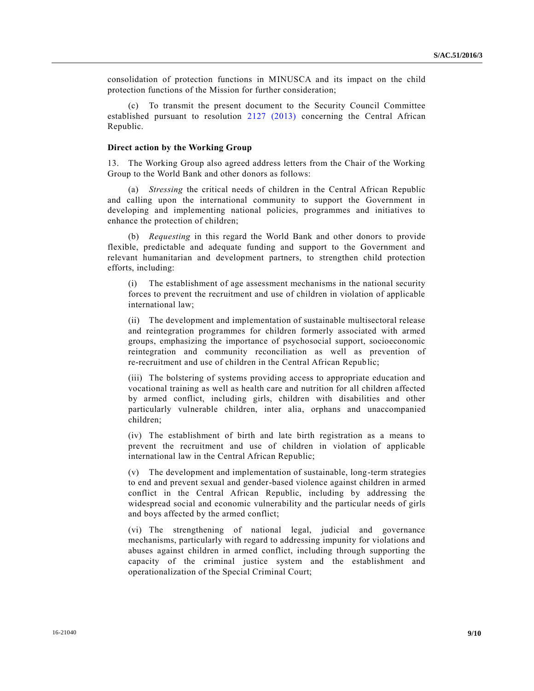consolidation of protection functions in MINUSCA and its impact on the child protection functions of the Mission for further consideration;

To transmit the present document to the Security Council Committee established pursuant to resolution [2127 \(2013\)](http://undocs.org/S/RES/2127(2013)) concerning the Central African Republic.

#### **Direct action by the Working Group**

13. The Working Group also agreed address letters from the Chair of the Working Group to the World Bank and other donors as follows:

(a) *Stressing* the critical needs of children in the Central African Republic and calling upon the international community to support the Government in developing and implementing national policies, programmes and initiatives to enhance the protection of children;

(b) *Requesting* in this regard the World Bank and other donors to provide flexible, predictable and adequate funding and support to the Government and relevant humanitarian and development partners, to strengthen child protection efforts, including:

(i) The establishment of age assessment mechanisms in the national security forces to prevent the recruitment and use of children in violation of applicable international law;

(ii) The development and implementation of sustainable multisectoral release and reintegration programmes for children formerly associated with armed groups, emphasizing the importance of psychosocial support, socioeconomic reintegration and community reconciliation as well as prevention of re-recruitment and use of children in the Central African Republic;

(iii) The bolstering of systems providing access to appropriate education and vocational training as well as health care and nutrition for all children affected by armed conflict, including girls, children with disabilities and other particularly vulnerable children, inter alia, orphans and unaccompanied children;

(iv) The establishment of birth and late birth registration as a means to prevent the recruitment and use of children in violation of applicable international law in the Central African Republic;

(v) The development and implementation of sustainable, long-term strategies to end and prevent sexual and gender-based violence against children in armed conflict in the Central African Republic, including by addressing the widespread social and economic vulnerability and the particular needs of girls and boys affected by the armed conflict;

(vi) The strengthening of national legal, judicial and governance mechanisms, particularly with regard to addressing impunity for violations and abuses against children in armed conflict, including through supporting the capacity of the criminal justice system and the establishment and operationalization of the Special Criminal Court;